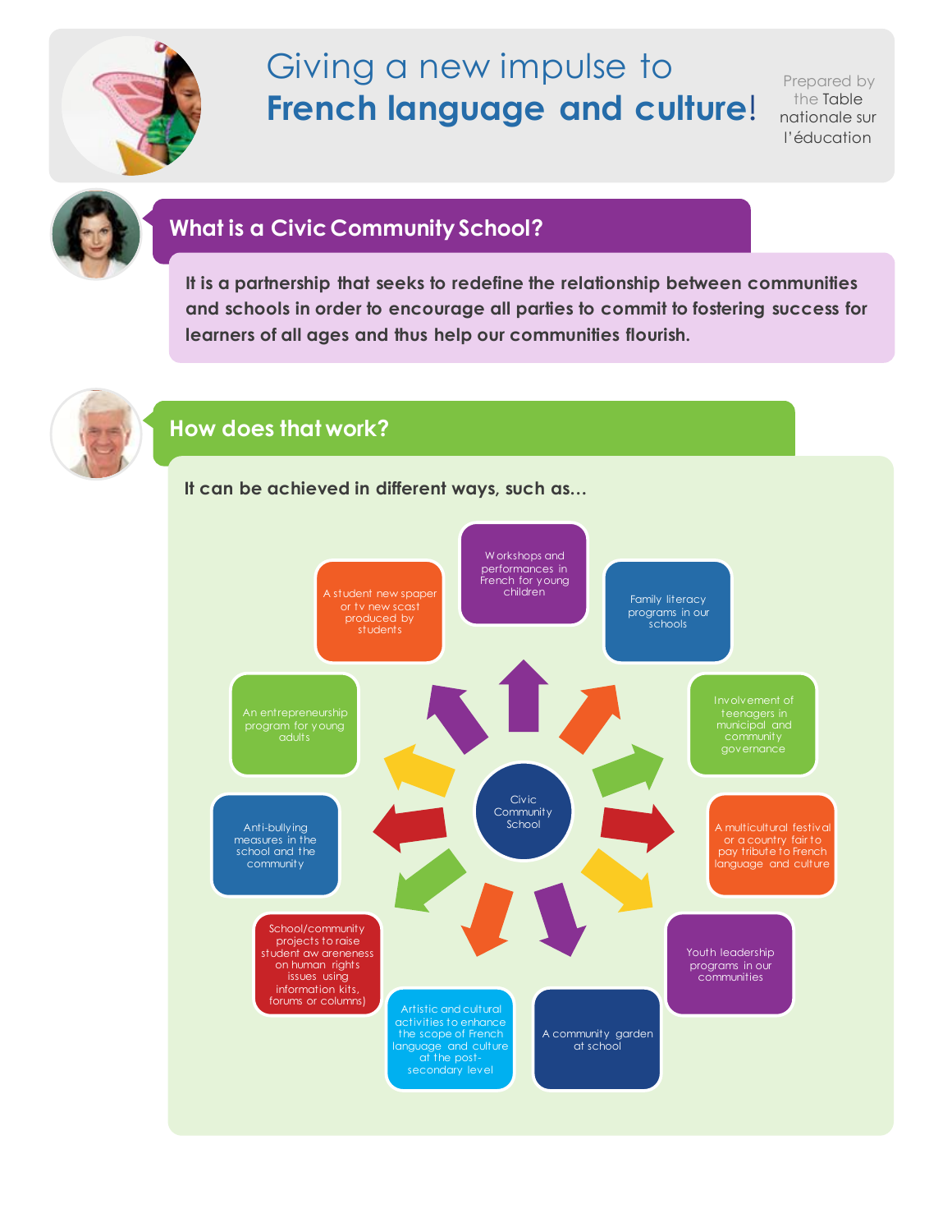

# Giving a new impulse to **French language and culture**!

Prepared by the Table nationale sur l'éducation



# **What is a Civic Community School?**

**It is a partnership that seeks to redefine the relationship between communities and schools in order to encourage all parties to commit to fostering success for learners of all ages and thus help our communities flourish.**



## **How does that work?**

**It can be achieved in different ways, such as…**